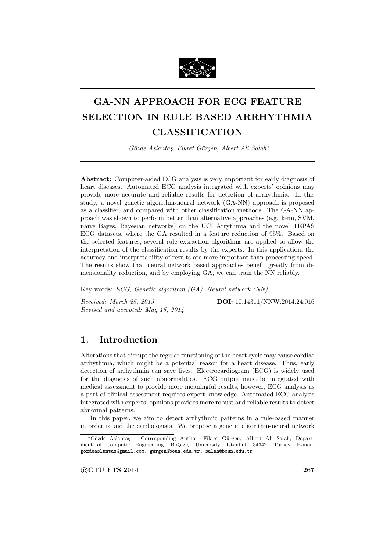

# **GA-NN APPROACH FOR ECG FEATURE SELECTION IN RULE BASED ARRHYTHMIA CLASSIFICATION**

*G¨ozde Aslanta¸s, Fikret G¨urgen, Albert Ali Salah<sup>∗</sup>*

**Abstract:** Computer-aided ECG analysis is very important for early diagnosis of heart diseases. Automated ECG analysis integrated with experts' opinions may provide more accurate and reliable results for detection of arrhythmia. In this study, a novel genetic algorithm-neural network (GA-NN) approach is proposed as a classifier, and compared with other classification methods. The GA-NN approach was shown to perform better than alternative approaches (e.g. k-nn, SVM, naïve Bayes, Bayesian networks) on the UCI Arrythmia and the novel TEPAS ECG datasets, where the GA resulted in a feature reduction of 95%. Based on the selected features, several rule extraction algorithms are applied to allow the interpretation of the classification results by the experts. In this application, the accuracy and interpretability of results are more important than processing speed. The results show that neural network based approaches benefit greatly from dimensionality reduction, and by employing GA, we can train the NN reliably.

Key words: *ECG, Genetic algorithm (GA), Neural network (NN)*

*Revised and accepted: May 15, 2014*

*Received: March 25, 2013* **DOI:** 10.14311/NNW.2014.24.016

# **1. Introduction**

Alterations that disrupt the regular functioning of the heart cycle may cause cardiac arrhythmia, which might be a potential reason for a heart disease. Thus, early detection of arrhythmia can save lives. Electrocardiogram (ECG) is widely used for the diagnosis of such abnormalities. ECG output must be integrated with medical assessment to provide more meaningful results, however, ECG analysis as a part of clinical assessment requires expert knowledge. Automated ECG analysis integrated with experts' opinions provides more robust and reliable results to detect abnormal patterns.

In this paper, we aim to detect arrhythmic patterns in a rule-based manner in order to aid the cardiologists. We propose a genetic algorithm-neural network

*⃝***c CTU FTS 2014 267**

*<sup>∗</sup>*G¨ozde Aslanta¸s – Corresponding Author, Fikret G¨urgen, Albert Ali Salah, Department of Computer Engineering, Boğaziçi University, Istanbul, 34342, Turkey, E-mail: gozdeaslantas@gmail.com, gurgen@boun.edu.tr, salah@boun.edu.tr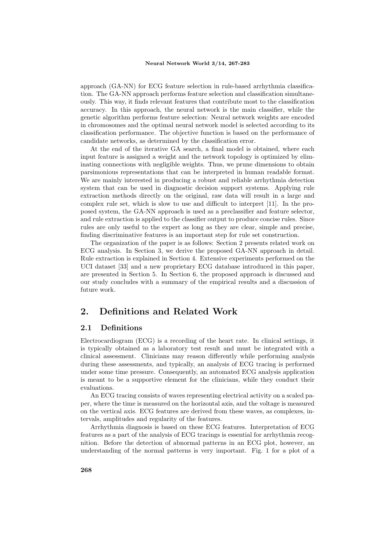approach (GA-NN) for ECG feature selection in rule-based arrhythmia classification. The GA-NN approach performs feature selection and classification simultaneously. This way, it finds relevant features that contribute most to the classification accuracy. In this approach, the neural network is the main classifier, while the genetic algorithm performs feature selection: Neural network weights are encoded in chromosomes and the optimal neural network model is selected according to its classification performance. The objective function is based on the performance of candidate networks, as determined by the classification error.

At the end of the iterative GA search, a final model is obtained, where each input feature is assigned a weight and the network topology is optimized by eliminating connections with negligible weights. Thus, we prune dimensions to obtain parsimonious representations that can be interpreted in human readable format. We are mainly interested in producing a robust and reliable arrhythmia detection system that can be used in diagnostic decision support systems. Applying rule extraction methods directly on the original, raw data will result in a large and complex rule set, which is slow to use and difficult to interpret [11]. In the proposed system, the GA-NN approach is used as a preclassifier and feature selector, and rule extraction is applied to the classifier output to produce concise rules. Since rules are only useful to the expert as long as they are clear, simple and precise, finding discriminative features is an important step for rule set construction.

The organization of the paper is as follows: Section 2 presents related work on ECG analysis. In Section 3, we derive the proposed GA-NN approach in detail. Rule extraction is explained in Section 4. Extensive experiments performed on the UCI dataset [33] and a new proprietary ECG database introduced in this paper, are presented in Section 5. In Section 6, the proposed approach is discussed and our study concludes with a summary of the empirical results and a discussion of future work.

# **2. Definitions and Related Work**

## **2.1 Definitions**

Electrocardiogram (ECG) is a recording of the heart rate. In clinical settings, it is typically obtained as a laboratory test result and must be integrated with a clinical assessment. Clinicians may reason differently while performing analysis during these assessments, and typically, an analysis of ECG tracing is performed under some time pressure. Consequently, an automated ECG analysis application is meant to be a supportive element for the clinicians, while they conduct their evaluations.

An ECG tracing consists of waves representing electrical activity on a scaled paper, where the time is measured on the horizontal axis, and the voltage is measured on the vertical axis. ECG features are derived from these waves, as complexes, intervals, amplitudes and regularity of the features.

Arrhythmia diagnosis is based on these ECG features. Interpretation of ECG features as a part of the analysis of ECG tracings is essential for arrhythmia recognition. Before the detection of abnormal patterns in an ECG plot, however, an understanding of the normal patterns is very important. Fig. 1 for a plot of a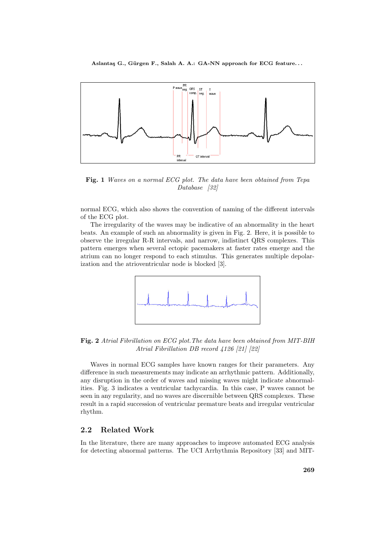

**Fig. 1** *Waves on a normal ECG plot. The data have been obtained from Tepa Database [32]*

normal ECG, which also shows the convention of naming of the different intervals of the ECG plot.

The irregularity of the waves may be indicative of an abnormality in the heart beats. An example of such an abnormality is given in Fig. 2. Here, it is possible to observe the irregular R-R intervals, and narrow, indistinct QRS complexes. This pattern emerges when several ectopic pacemakers at faster rates emerge and the atrium can no longer respond to each stimulus. This generates multiple depolarization and the atrioventricular node is blocked [3].



**Fig. 2** *Atrial Fibrillation on ECG plot.The data have been obtained from MIT-BIH Atrial Fibrillation DB record 4126 [21] [22]*

Waves in normal ECG samples have known ranges for their parameters. Any difference in such measurements may indicate an arrhythmic pattern. Additionally, any disruption in the order of waves and missing waves might indicate abnormalities. Fig. 3 indicates a ventricular tachycardia. In this case, P waves cannot be seen in any regularity, and no waves are discernible between QRS complexes. These result in a rapid succession of ventricular premature beats and irregular ventricular rhythm.

## **2.2 Related Work**

In the literature, there are many approaches to improve automated ECG analysis for detecting abnormal patterns. The UCI Arrhythmia Repository [33] and MIT-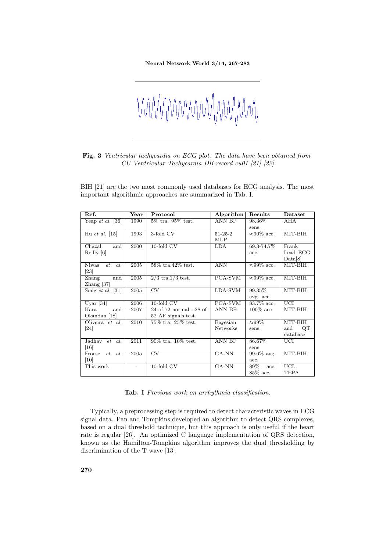

**Fig. 3** *Ventricular tachycardia on ECG plot. The data have been obtained from CU Ventricular Tachycardia DB record cu01 [21] [22]*

BIH [21] are the two most commonly used databases for ECG analysis. The most important algorithmic approaches are summarized in Tab. I.

| Ref.                               | Year | Protocol                 | Algorithm       | Results             | Dataset                 |
|------------------------------------|------|--------------------------|-----------------|---------------------|-------------------------|
| Yeap et al. [36]                   | 1990 | $5\%$ tra. $95\%$ test.  | <b>ANN BP</b>   | 98.36%              | $\overline{\text{AHA}}$ |
|                                    |      |                          |                 | sens.               |                         |
| Hu et al. $[15]$                   | 1993 | 3-fold CV                | $51 - 25 - 2$   | $\approx 90\%$ acc. | MIT-BIH                 |
|                                    |      |                          | <b>MLP</b>      |                     |                         |
| Chazal<br>and                      | 2000 | $10$ -fold CV            | LDA             | 69.3-74.7%          | Frank                   |
| Reilly [6]                         |      |                          |                 | acc.                | Lead ECG                |
|                                    |      |                          |                 |                     | Data[8]                 |
| <b>Niwas</b><br>al.<br>et          | 2005 | 58\% tra.42\% test.      | <b>ANN</b>      | $\approx 99\%$ acc. | MIT-BIH                 |
| $\left[ 23\right]$                 |      |                          |                 |                     |                         |
| and<br>Zhang                       | 2005 | $2/3$ tra.1/3 test.      | PCA-SVM         | $\approx 99\%$ acc. | MIT-BIH                 |
| Zhang $[37]$                       |      |                          |                 |                     |                         |
| Song <i>et al.</i> $\overline{31}$ | 2005 | $\overline{\rm CV}$      | LDA-SVM         | 99.35%              | MIT-BIH                 |
|                                    |      |                          |                 | avg. acc.           |                         |
| Uyar $[34]$                        | 2006 | $10$ -fold $CV$          | PCA-SVM         | 83.7% acc.          | <b>UCI</b>              |
| Kara.<br>and                       | 2007 | 24 of 72 normal - 28 of  | <b>ANN BP</b>   | $100\%$ acc         | MIT-BIH                 |
| Okandan [18]                       |      | 52 AF signals test.      |                 |                     |                         |
| Oliveira et al.                    | 2010 | 75\% tra. 25\% test.     | Bayesian        | $\approx 99\%$      | MIT-BIH                 |
| $\left[ 24\right]$                 |      |                          | <b>Networks</b> | sens.               | QT<br>and               |
|                                    |      |                          |                 |                     | database                |
| Jadhay et al.                      | 2011 | $90\%$ tra. $10\%$ test. | <b>ANN BP</b>   | 86.67%              | UCI                     |
| $\left[16\right]$                  |      |                          |                 | sens.               |                         |
| al.<br>Froese<br>et                | 2005 | $\overline{\rm CV}$      | $GA-NN$         | $99.6\%$ avg.       | MIT-BIH                 |
| $\left[10\right]$                  |      |                          |                 | acc.                |                         |
| This work                          |      | $10$ -fold $CV$          | GA-NN           | 89%<br>acc.         | UCI,                    |
|                                    |      |                          |                 | $85\%$ acc.         | TEPA                    |

**Tab. I** *Previous work on arrhythmia classification.*

Typically, a preprocessing step is required to detect characteristic waves in ECG signal data. Pan and Tompkins developed an algorithm to detect QRS complexes, based on a dual threshold technique, but this approach is only useful if the heart rate is regular [26]. An optimized C language implementation of QRS detection, known as the Hamilton-Tompkins algorithm improves the dual thresholding by discrimination of the T wave [13].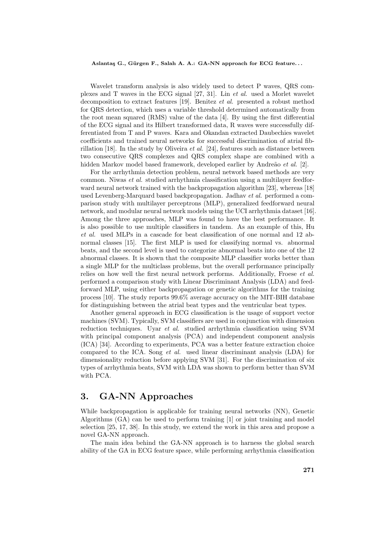Wavelet transform analysis is also widely used to detect P waves, QRS complexes and T waves in the ECG signal [27, 31]. Lin *et al.* used a Morlet wavelet decomposition to extract features [19]. Benitez *et al.* presented a robust method for QRS detection, which uses a variable threshold determined automatically from the root mean squared (RMS) value of the data [4]. By using the first differential of the ECG signal and its Hilbert transformed data, R waves were successfully differentiated from T and P waves. Kara and Okandan extracted Daubechies wavelet coefficients and trained neural networks for successful discrimination of atrial fibrillation [18]. In the study by Oliveira *et al.* [24], features such as distance between two consecutive QRS complexes and QRS complex shape are combined with a hidden Markov model based framework, developed earlier by Andreão *et al.* [2].

For the arrhythmia detection problem, neural network based methods are very common. Niwas *et al.* studied arrhythmia classification using a multilayer feedforward neural network trained with the backpropagation algorithm [23], whereas [18] used Levenberg-Marquard based backpropagation. Jadhav *et al.* performed a comparison study with multilayer perceptrons (MLP), generalized feedforward neural network, and modular neural network models using the UCI arrhythmia dataset [16]. Among the three approaches, MLP was found to have the best performance. It is also possible to use multiple classifiers in tandem. As an example of this, Hu *et al.* used MLPs in a cascade for beat classification of one normal and 12 abnormal classes [15]. The first MLP is used for classifying normal vs. abnormal beats, and the second level is used to categorize abnormal beats into one of the 12 abnormal classes. It is shown that the composite MLP classifier works better than a single MLP for the multiclass problems, but the overall performance principally relies on how well the first neural network performs. Additionally, Froese *et al.* performed a comparison study with Linear Discriminant Analysis (LDA) and feedforward MLP, using either backpropagation or genetic algorithms for the training process [10]. The study reports 99.6% average accuracy on the MIT-BIH database for distinguishing between the atrial beat types and the ventricular beat types.

Another general approach in ECG classification is the usage of support vector machines (SVM). Typically, SVM classifiers are used in conjunction with dimension reduction techniques. Uyar *et al.* studied arrhythmia classification using SVM with principal component analysis (PCA) and independent component analysis (ICA) [34]. According to experiments, PCA was a better feature extraction choice compared to the ICA. Song *et al.* used linear discriminant analysis (LDA) for dimensionality reduction before applying SVM [31]. For the discrimination of six types of arrhythmia beats, SVM with LDA was shown to perform better than SVM with PCA.

## **3. GA-NN Approaches**

While backpropagation is applicable for training neural networks (NN), Genetic Algorithms (GA) can be used to perform training [1] or joint training and model selection [25, 17, 38]. In this study, we extend the work in this area and propose a novel GA-NN approach.

The main idea behind the GA-NN approach is to harness the global search ability of the GA in ECG feature space, while performing arrhythmia classification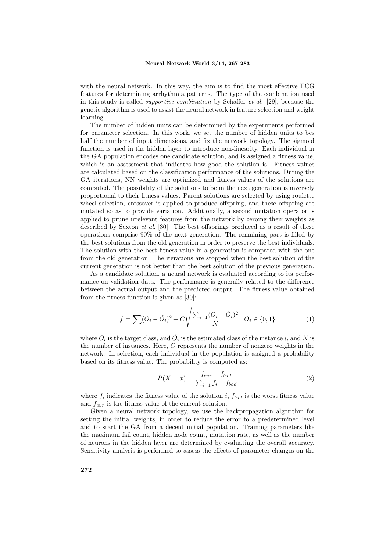with the neural network. In this way, the aim is to find the most effective ECG features for determining arrhythmia patterns. The type of the combination used in this study is called *supportive combination* by Schaffer *et al.* [29], because the genetic algorithm is used to assist the neural network in feature selection and weight learning.

The number of hidden units can be determined by the experiments performed for parameter selection. In this work, we set the number of hidden units to bes half the number of input dimensions, and fix the network topology. The sigmoid function is used in the hidden layer to introduce non-linearity. Each individual in the GA population encodes one candidate solution, and is assigned a fitness value, which is an assessment that indicates how good the solution is. Fitness values are calculated based on the classification performance of the solutions. During the GA iterations, NN weights are optimized and fitness values of the solutions are computed. The possibility of the solutions to be in the next generation is inversely proportional to their fitness values. Parent solutions are selected by using roulette wheel selection, crossover is applied to produce offspring, and these offspring are mutated so as to provide variation. Additionally, a second mutation operator is applied to prune irrelevant features from the network by zeroing their weights as described by Sexton *et al.* [30]. The best offsprings produced as a result of these operations comprise 90% of the next generation. The remaining part is filled by the best solutions from the old generation in order to preserve the best individuals. The solution with the best fitness value in a generation is compared with the one from the old generation. The iterations are stopped when the best solution of the current generation is not better than the best solution of the previous generation.

As a candidate solution, a neural network is evaluated according to its performance on validation data. The performance is generally related to the difference between the actual output and the predicted output. The fitness value obtained from the fitness function is given as [30]:

$$
f = \sum (O_i - \hat{O}_i)^2 + C \sqrt{\frac{\sum_{i=1} (O_i - \hat{O}_i)^2}{N}}, \ O_i \in \{0, 1\}
$$
 (1)

where  $O_i$  is the target class, and  $\hat{O}_i$  is the estimated class of the instance *i*, and *N* is the number of instances. Here, *C* represents the number of nonzero weights in the network. In selection, each individual in the population is assigned a probability based on its fitness value. The probability is computed as:

$$
P(X = x) = \frac{f_{cur} - f_{bad}}{\sum_{i=1} f_i - f_{bad}}\tag{2}
$$

where  $f_i$  indicates the fitness value of the solution  $i$ ,  $f_{bad}$  is the worst fitness value and *fcur* is the fitness value of the current solution.

Given a neural network topology, we use the backpropagation algorithm for setting the initial weights, in order to reduce the error to a predetermined level and to start the GA from a decent initial population. Training parameters like the maximum fail count, hidden node count, mutation rate, as well as the number of neurons in the hidden layer are determined by evaluating the overall accuracy. Sensitivity analysis is performed to assess the effects of parameter changes on the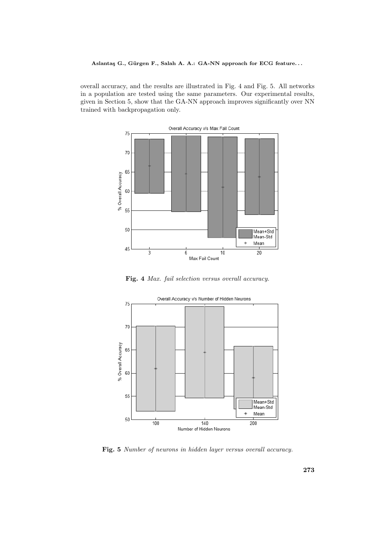overall accuracy, and the results are illustrated in Fig. 4 and Fig. 5. All networks in a population are tested using the same parameters. Our experimental results, given in Section 5, show that the GA-NN approach improves significantly over NN trained with backpropagation only.



**Fig. 4** *Max. fail selection versus overall accuracy.*



**Fig. 5** *Number of neurons in hidden layer versus overall accuracy.*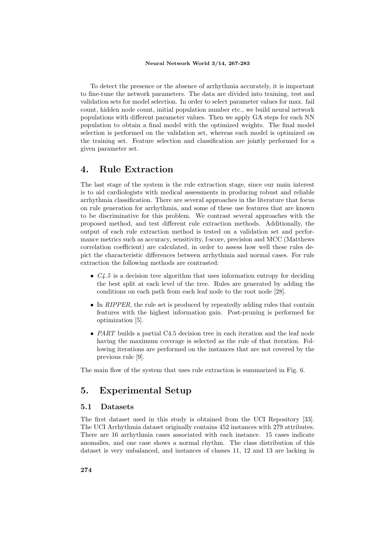To detect the presence or the absence of arrhythmia accurately, it is important to fine-tune the network parameters. The data are divided into training, test and validation sets for model selection. In order to select parameter values for max. fail count, hidden node count, initial population number etc., we build neural network populations with different parameter values. Then we apply GA steps for each NN population to obtain a final model with the optimized weights. The final model selection is performed on the validation set, whereas each model is optimized on the training set. Feature selection and classification are jointly performed for a given parameter set.

## **4. Rule Extraction**

The last stage of the system is the rule extraction stage, since our main interest is to aid cardiologists with medical assessments in producing robust and reliable arrhythmia classification. There are several approaches in the literature that focus on rule generation for arrhythmia, and some of these use features that are known to be discriminative for this problem. We contrast several approaches with the proposed method, and test different rule extraction methods. Additionally, the output of each rule extraction method is tested on a validation set and performance metrics such as accuracy, sensitivity, f-score, precision and MCC (Matthews correlation coefficient) are calculated, in order to assess how well these rules depict the characteristic differences between arrhythmia and normal cases. For rule extraction the following methods are contrasted:

- *• C4.5* is a decision tree algorithm that uses information entropy for deciding the best split at each level of the tree. Rules are generated by adding the conditions on each path from each leaf node to the root node [28].
- In *RIPPER*, the rule set is produced by repeatedly adding rules that contain features with the highest information gain. Post-pruning is performed for optimization [5].
- *PART* builds a partial C4.5 decision tree in each iteration and the leaf node having the maximum coverage is selected as the rule of that iteration. Following iterations are performed on the instances that are not covered by the previous rule [9].

The main flow of the system that uses rule extraction is summarized in Fig. 6.

# **5. Experimental Setup**

## **5.1 Datasets**

The first dataset used in this study is obtained from the UCI Repository [33]. The UCI Arrhythmia dataset originally contains 452 instances with 279 attributes. There are 16 arrhythmia cases associated with each instance. 15 cases indicate anomalies, and one case shows a normal rhythm. The class distribution of this dataset is very unbalanced, and instances of classes 11, 12 and 13 are lacking in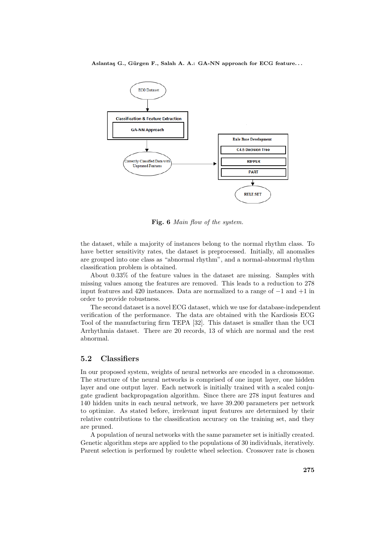

**Fig. 6** *Main flow of the system.*

the dataset, while a majority of instances belong to the normal rhythm class. To have better sensitivity rates, the dataset is preprocessed. Initially, all anomalies are grouped into one class as "abnormal rhythm", and a normal-abnormal rhythm classification problem is obtained.

About 0.33% of the feature values in the dataset are missing. Samples with missing values among the features are removed. This leads to a reduction to 278 input features and 420 instances. Data are normalized to a range of *−*1 and +1 in order to provide robustness.

The second dataset is a novel ECG dataset, which we use for database-independent verification of the performance. The data are obtained with the Kardiosis ECG Tool of the manufacturing firm TEPA [32]. This dataset is smaller than the UCI Arrhythmia dataset. There are 20 records, 13 of which are normal and the rest abnormal.

## **5.2 Classifiers**

In our proposed system, weights of neural networks are encoded in a chromosome. The structure of the neural networks is comprised of one input layer, one hidden layer and one output layer. Each network is initially trained with a scaled conjugate gradient backpropagation algorithm. Since there are 278 input features and 140 hidden units in each neural network, we have 39.200 parameters per network to optimize. As stated before, irrelevant input features are determined by their relative contributions to the classification accuracy on the training set, and they are pruned.

A population of neural networks with the same parameter set is initially created. Genetic algorithm steps are applied to the populations of 30 individuals, iteratively. Parent selection is performed by roulette wheel selection. Crossover rate is chosen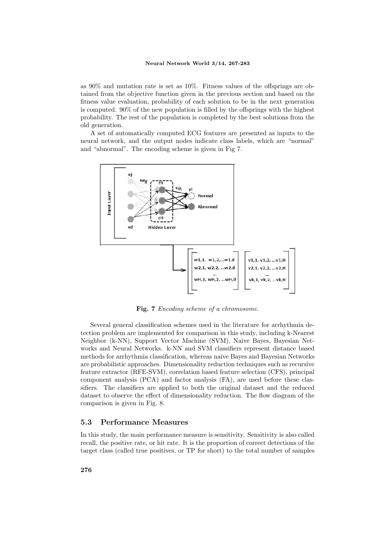as 90% and mutation rate is set as 10%. Fitness values of the offsprings are obtained from the objective function given in the previous section and based on the fitness value evaluation, probability of each solution to be in the next generation is computed. 90% of the new population is filled by the offsprings with the highest probability. The rest of the population is completed by the best solutions from the old generation.

A set of automatically computed ECG features are presented as inputs to the neural network, and the output nodes indicate class labels, which are "normal" and "abnormal". The encoding scheme is given in Fig 7.



**Fig. 7** *Encoding scheme of a chromosome.*

Several general classification schemes used in the literature for arrhythmia detection problem are implemented for comparison in this study, including k-Nearest Neighbor (k-NN), Support Vector Machine (SVM), Naive Bayes, Bayesian Networks and Neural Networks. k-NN and SVM classifiers represent distance based methods for arrhythmia classification, whereas naive Bayes and Bayesian Networks are probabilistic approaches. Dimensionality reduction techniques such as recursive feature extractor (RFE-SVM), correlation based feature selection (CFS), principal component analysis (PCA) and factor analysis (FA), are used before these classifiers. The classifiers are applied to both the original dataset and the reduced dataset to observe the effect of dimensionality reduction. The flow diagram of the comparison is given in Fig. 8.

#### **5.3 Performance Measures**

In this study, the main performance measure is sensitivity. Sensitivity is also called recall, the positive rate, or hit rate. It is the proportion of correct detections of the target class (called true positives, or TP for short) to the total number of samples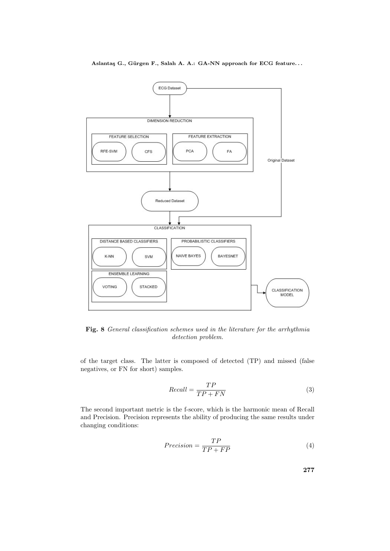

**Fig. 8** *General classification schemes used in the literature for the arrhythmia detection problem.*

of the target class. The latter is composed of detected (TP) and missed (false negatives, or FN for short) samples.

$$
Recall = \frac{TP}{TP + FN} \tag{3}
$$

The second important metric is the f-score, which is the harmonic mean of Recall and Precision. Precision represents the ability of producing the same results under changing conditions:

$$
Precision = \frac{TP}{TP + FP}
$$
\n<sup>(4)</sup>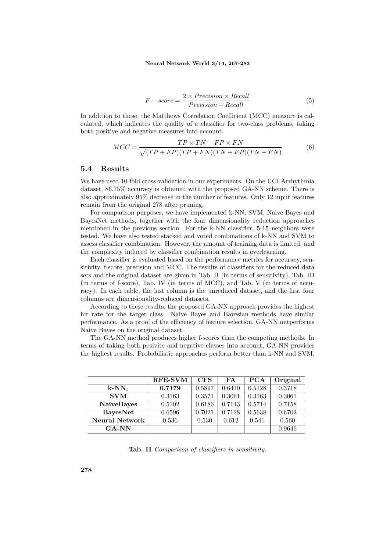$$
F-score = \frac{2 \times Precision \times Recall}{Precision + Recall}
$$
 (5)

In addition to these, the Matthews Correlation Coefficient (MCC) measure is calculated, which indicates the quality of a classifier for two-class problems, taking both positive and negative measures into account.

$$
MCC = \frac{TP \times TN - FP \times FN}{\sqrt{(TP + FP)(TP + FN)(TN + FP)(TN + FN)}}
$$
(6)

### **5.4 Results**

We have used 10-fold cross-validation in our experiments. On the UCI Arrhythmia dataset, 86.75% accuracy is obtained with the proposed GA-NN scheme. There is also approximately 95% decrease in the number of features. Only 12 input features remain from the original 278 after pruning.

For comparison purposes, we have implemented k-NN, SVM, Naive Bayes and BayesNet methods, together with the four dimensionality reduction approaches mentioned in the previous section. For the k-NN classifier, 5-15 neighbors were tested. We have also tested stacked and voted combinations of k-NN and SVM to assess classifier combination. However, the amount of training data is limited, and the complexity induced by classifier combination results in overlearning.

Each classifier is evaluated based on the performance metrics for accuracy, sensitivity, f-score, precision and MCC. The results of classifiers for the reduced data sets and the original dataset are given in Tab. II (in terms of sensitivity), Tab. III (in terms of f-score), Tab. IV (in terms of MCC), and Tab. V (in terms of accuracy). In each table, the last column is the unreduced dataset, and the first four columns are dimensionality-reduced datasets.

According to these results, the proposed GA-NN approach provides the highest hit rate for the target class. Naive Bayes and Bayesian methods have similar performance. As a proof of the efficiency of feature selection, GA-NN outperforms Naive Bayes on the original dataset.

The GA-NN method produces higher f-scores than the competing methods. In terms of taking both posivite and negative classes into account, GA-NN provides the highest results. Probabilistic approaches perform better than k-NN and SVM.

|                      | <b>RFE-SVM</b> | <b>CFS</b> | FA     | <b>PCA</b> | Original |
|----------------------|----------------|------------|--------|------------|----------|
| $k$ -NN <sub>5</sub> | 0.7179         | 0.5897     | 0.6410 | 0.5128     | 0.3718   |
| <b>SVM</b>           | 0.3163         | 0.3571     | 0.3061 | 0.3163     | 0.3061   |
| <b>NaiveBayes</b>    | 0.5102         | 0.6186     | 0.7143 | 0.5714     | 0.7158   |
| <b>BayesNet</b>      | 0.6596         | 0.7021     | 0.7128 | 0.5638     | 0.6702   |
| Neural Network       | 0.536          | 0.530      | 0.612  | 0.541      | 0.560    |
| $G A-NN$             |                |            |        |            | 0.9646   |

**Tab. II** *Comparison of classifiers in sensitivity.*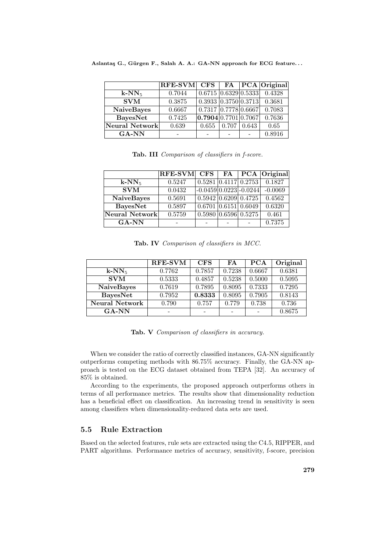|                      | <b>RFE-SVM</b> | $\rm{CFS}$                        |       |       | $\overline{FA}$ $\overline{PCA}$ Original    |
|----------------------|----------------|-----------------------------------|-------|-------|----------------------------------------------|
| $k$ -NN <sub>5</sub> | 0.7044         |                                   |       |       | $0.6715 \mid 0.6329 \mid 0.5333 \mid 0.4328$ |
| <b>SVM</b>           | 0.3875         |                                   |       |       | 0.3933   0.3750   0.3713   0.3681            |
| <b>NaiveBayes</b>    | 0.6667         | 0.7317   0.7778   0.6667          |       |       | 0.7083                                       |
| <b>BayesNet</b>      | 0.7425         | $\overline{0.7904}$ 0.7701 0.7067 |       |       | 0.7636                                       |
| Neural Network       | 0.639          | 0.655                             | 0.707 | 0.643 | 0.65                                         |
| <b>GA-NN</b>         |                |                                   |       |       | 0.8916                                       |

|  |  | Tab. III Comparison of classifiers in f-score. |  |  |  |  |
|--|--|------------------------------------------------|--|--|--|--|
|--|--|------------------------------------------------|--|--|--|--|

|                           | $RFE-SVM$ CFS   FA   PCA   Original |                              |                                                             |           |
|---------------------------|-------------------------------------|------------------------------|-------------------------------------------------------------|-----------|
| $k-NN_5$                  | 0.5247                              |                              | $\overline{0.5281}$ $\overline{0.4117}$ $\overline{0.2753}$ | 0.1827    |
| $\overline{\mathrm{SVM}}$ | 0.0432                              | $-0.0459 0.0223 -0.0244 $    |                                                             | $-0.0069$ |
| <b>NaiveBayes</b>         | 0.5691                              |                              | $\overline{0.5942}$ $\overline{0.6209}$ $\overline{0.4725}$ | 0.4562    |
| <b>BayesNet</b>           | 0.5897                              | $0.6701$ $ 0.6151 $ $0.6049$ |                                                             | 0.6320    |
| Neural Network            | 0.5759                              | $0.5980$ 0.6596 0.5275       |                                                             | 0.461     |
| <b>GA-NN</b>              |                                     |                              |                                                             | 0.7375    |

**Tab. IV** *Comparison of classifiers in MCC.*

|                      | <b>RFE-SVM</b> | <b>CFS</b> | FA     | PCA    | Original |
|----------------------|----------------|------------|--------|--------|----------|
| $k$ -NN <sub>5</sub> | 0.7762         | 0.7857     | 0.7238 | 0.6667 | 0.6381   |
| <b>SVM</b>           | 0.5333         | 0.4857     | 0.5238 | 0.5000 | 0.5095   |
| <b>NaiveBayes</b>    | 0.7619         | 0.7895     | 0.8095 | 0.7333 | 0.7295   |
| <b>BayesNet</b>      | 0.7952         | 0.8333     | 0.8095 | 0.7905 | 0.8143   |
| Neural Network       | 0.790          | 0.757      | 0.779  | 0.738  | 0.736    |
| <b>GA-NN</b>         |                |            |        |        | 0.8675   |

**Tab. V** *Comparison of classifiers in accuracy.*

When we consider the ratio of correctly classified instances, GA-NN significantly outperforms competing methods with 86.75% accuracy. Finally, the GA-NN approach is tested on the ECG dataset obtained from TEPA [32]. An accuracy of 85% is obtained.

According to the experiments, the proposed approach outperforms others in terms of all performance metrics. The results show that dimensionality reduction has a beneficial effect on classification. An increasing trend in sensitivity is seen among classifiers when dimensionality-reduced data sets are used.

## **5.5 Rule Extraction**

Based on the selected features, rule sets are extracted using the C4.5, RIPPER, and PART algorithms. Performance metrics of accuracy, sensitivity, f-score, precision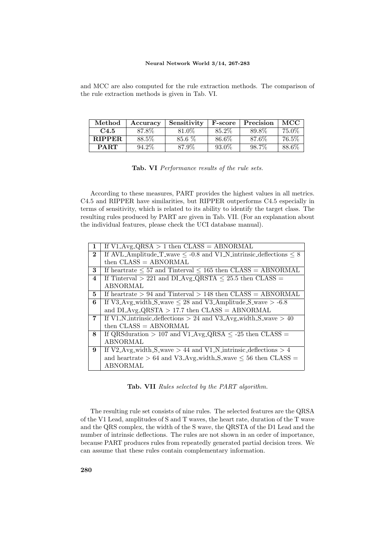and MCC are also computed for the rule extraction methods. The comparison of the rule extraction methods is given in Tab. VI.

| Method        | Accuracv | Sensitivity | <b>F-score</b> | Precision | <b>MCC</b> |
|---------------|----------|-------------|----------------|-----------|------------|
| C4.5          | 87.8%    | 81.0%       | 85.2\%         | 89.8%     | 75.0%      |
| <b>RIPPER</b> | 88.5%    | 85.6 %      | 86.6%          | 87.6%     | 76.5%      |
| <b>PART</b>   | 94.2%    | 87.9%       | $93.0\%$       | 98.7%     | 88.6%      |

|  |  | Tab. VI Performance results of the rule sets. |  |  |  |  |
|--|--|-----------------------------------------------|--|--|--|--|
|--|--|-----------------------------------------------|--|--|--|--|

According to these measures, PART provides the highest values in all metrics. C4.5 and RIPPER have similarities, but RIPPER outperforms C4.5 especially in terms of sensitivity, which is related to its ability to identify the target class. The resulting rules produced by PART are given in Tab. VII. (For an explanation about the individual features, please check the UCI database manual).

| $\mathbf{1}$ | If $V1 \text{Avg}$ -QRSA > 1 then $CLASS = ABNORMAL$                        |
|--------------|-----------------------------------------------------------------------------|
| $\bf{2}$     | If AVL_Amplitude_T_wave $\leq$ -0.8 and V1_N_intrinsic_deflections $\leq 8$ |
|              | then $\text{CLASS} = \text{ABNORMAL}$                                       |
| 3            | If heartrate $\leq 57$ and Tinterval $\leq 165$ then CLASS = ABNORMAL       |
| 4            | If Tinterval > 221 and DLAvg_QRSTA $\leq$ 25.5 then CLASS =                 |
|              | <b>ABNORMAL</b>                                                             |
| 5.           | If heartrate $> 94$ and Tinterval $> 148$ then CLASS = ABNORMAL             |
| 6            | If V3_Avg_width_S_wave $\leq$ 28 and V3_Amplitude_S_wave $>$ -6.8           |
|              | and DLAvg <sub>-QRSTA</sub> > 17.7 then $\text{CLASS} = \text{ABNORMAL}$    |
| 7            | If V1_N_intrinsic_deflections > 24 and V3_Avg_width_S_wave > 40             |
|              | then $\text{CLASS} = \text{ABNORMAL}$                                       |
| 8            | If QRS<br>duration > 107 and V1_Avg_QRSA $\leq$ -25 then CLASS =            |
|              | <b>ABNORMAL</b>                                                             |
| 9            | If V2_Avg_width_S_wave $> 44$ and V1_N_intrinsic_deflections $> 4$          |
|              | and heartrate $> 64$ and V3_Avg_width_S_wave $\leq 56$ then CLASS =         |
|              | ABNORMAL                                                                    |

**Tab. VII** *Rules selected by the PART algorithm.*

The resulting rule set consists of nine rules. The selected features are the QRSA of the V1 Lead, amplitudes of S and T waves, the heart rate, duration of the T wave and the QRS complex, the width of the S wave, the QRSTA of the D1 Lead and the number of intrinsic deflections. The rules are not shown in an order of importance, because PART produces rules from repeatedly generated partial decision trees. We can assume that these rules contain complementary information.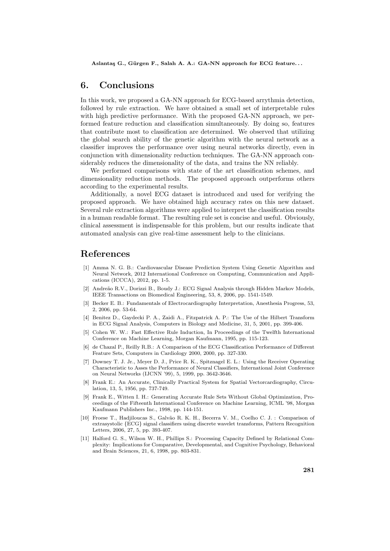# **6. Conclusions**

In this work, we proposed a GA-NN approach for ECG-based arrythmia detection, followed by rule extraction. We have obtained a small set of interpretable rules with high predictive performance. With the proposed GA-NN approach, we performed feature reduction and classification simultaneously. By doing so, features that contribute most to classification are determined. We observed that utilizing the global search ability of the genetic algorithm with the neural network as a classifier improves the performance over using neural networks directly, even in conjunction with dimensionality reduction techniques. The GA-NN approach considerably reduces the dimensionality of the data, and trains the NN reliably.

We performed comparisons with state of the art classification schemes, and dimensionality reduction methods. The proposed approach outperforms others according to the experimental results.

Additionally, a novel ECG dataset is introduced and used for verifying the proposed approach. We have obtained high accuracy rates on this new dataset. Several rule extraction algorithms were applied to interpret the classification results in a human readable format. The resulting rule set is concise and useful. Obviously, clinical assessment is indispensable for this problem, but our results indicate that automated analysis can give real-time assessment help to the clinicians.

# **References**

- [1] Amma N. G. B.: Cardiovascular Disease Prediction System Using Genetic Algorithm and Neural Network, 2012 International Conference on Computing, Communication and Applications (ICCCA), 2012, pp. 1-5.
- [2] Andreão R.V., Dorizzi B., Boudy J.: ECG Signal Analysis through Hidden Markov Models, IEEE Transactions on Biomedical Engineering, 53, 8, 2006, pp. 1541-1549.
- [3] Becker E. B.: Fundamentals of Electrocardiography Interpretation, Anesthesia Progress, 53, 2, 2006, pp. 53-64.
- [4] Benitez D., Gaydecki P. A., Zaidi A., Fitzpatrick A. P.: The Use of the Hilbert Transform in ECG Signal Analysis, Computers in Biology and Medicine, 31, 5, 2001, pp. 399-406.
- [5] Cohen W. W.: Fast Effective Rule Induction, In Proceedings of the Twelfth International Conference on Machine Learning, Morgan Kaufmann, 1995, pp. 115-123.
- [6] de Chazal P., Reilly R.B.: A Comparison of the ECG Classification Performance of Different Feature Sets, Computers in Cardiology 2000, 2000, pp. 327-330.
- [7] Downey T. J. Jr., Meyer D. J., Price R. K., Spitznagel E. L.: Using the Receiver Operating Characteristic to Asses the Performance of Neural Classifiers, International Joint Conference on Neural Networks (IJCNN '99), 5, 1999, pp. 3642-3646.
- [8] Frank E.: An Accurate, Clinically Practical System for Spatial Vectorcardiography, Circulation, 13, 5, 1956, pp. 737-749.
- [9] Frank E., Witten I. H.: Generating Accurate Rule Sets Without Global Optimization, Proceedings of the Fifteenth International Conference on Machine Learning, ICML '98, Morgan Kaufmann Publishers Inc., 1998, pp. 144-151.
- [10] Froese T., Hadjiloucas S., Galvão R. K. H., Becerra V. M., Coelho C. J. : Comparison of extrasystolic *{*ECG*}* signal classifiers using discrete wavelet transforms, Pattern Recognition Letters, 2006, 27, 5, pp. 393-407.
- [11] Halford G. S., Wilson W. H., Phillips S.: Processing Capacity Defined by Relational Complexity: Implications for Comparative, Developmental, and Cognitive Psychology, Behavioral and Brain Sciences, 21, 6, 1998, pp. 803-831.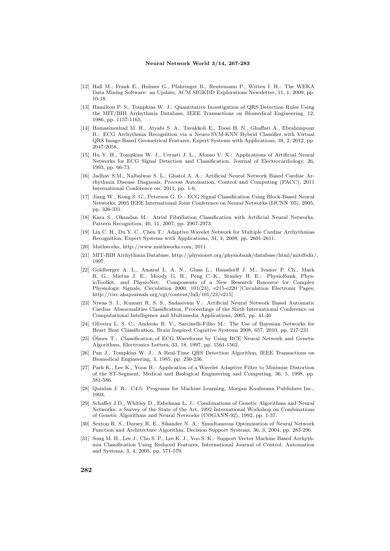- [12] Hall M., Frank E., Holmes G., Pfahringer B., Reutemann P., Witten I. H.: The WEKA Data Mining Software: an Update, ACM SIGKDD Explorations Newsletter, 11, 1, 2009, pp. 10-18.
- [13] Hamilton P. S., Tompkins W. J.: Quantitative Investigation of QRS Detection Rules Using the MIT/BIH Arrhythmia Database, IEEE Transactions on Biomedical Engineering, 12, 1986, pp. 1157-1165.
- [14] Homaeinezhad M. R., Atyabi S. A., Tavakkoli E., Toosi H. N., Ghaffari A., Ebrahimpour R.: ECG Arrhythmia Recognition via a Neuro-SVM-KNN Hybrid Classifier with Virtual QRS Image-Based Geometrical Features, Expert Systems with Applications, 39, 2, 2012, pp. 2047-2058.
- [15] Hu Y. H., Tompkins W. J., Urrusti J. L., Afonso V. X.: Applications of Artificial Neural Networks for ECG Signal Detection and Classification, Journal of Electrocardiology, 26, 1993, pp. 66-73.
- [16] Jadhav S.M., Nalbalwar S. L., Ghatol A. A.: Artificial Neural Network Based Cardiac Arrhythmia Disease Diagnosis, Process Automation, Control and Computing (PACC), 2011 International Conference on, 2011, pp. 1-6.
- [17] Jiang W., Kong S. G., Peterson G. D.: ECG Signal Classification Using Block-Based Neural Networks, 2005 IEEE International Joint Conference on Neural Networks (IJCNN '05), 2005, pp. 326-331.
- [18] Kara S., Okandan M.: Atrial Fibrillation Classification with Artificial Neural Networks, Pattern Recognition, 40, 11, 2007, pp. 2967-2973.
- [19] Lin C. H., Du Y. C., Chen T.: Adaptive Wavelet Network for Multiple Cardiac Arrhythmias Recognition, Expert Systems with Applications, 34, 4, 2008, pp. 2601-2611.
- [20] Mathworks, http://www.mathworks.com, 2011.
- [21] MIT-BIH Arrhythmia Database, http://physionet.org/physiobank/database/html/mitdbdir/, 1997.
- [22] Goldberger A. L., Amaral L. A. N., Glass L., Hausdorff J. M., Ivanov P. Ch., Mark R. G., Mietus J. E., Moody G. B., Peng C.-K., Stanley H. E.: PhysioBank, PhysioToolkit, and PhysioNet: Components of a New Research Resource for Complex Physiologic Signals, Circulation 2000, 101(23), e215-e220 [Circulation Electronic Pages; http://circ.ahajournals.org/cgi/content/full/101/23/e215]
- [23] Niwas S. I., Kumari R. S. S., Sadasivam V.: Artificial Neural Network Based Automatic Cardiac Abnormalities Classification, Proceedings of the Sixth International Conference on Computational Intelligence and Multimedia Applications, 2005, pp. 41-46
- [24] Oliveira L. S. C., Andreão R. V., Sarcinelli-Filho M.: The Use of Bayesian Networks for Heart Beat Classification, Brain Inspired Cognitive Systems 2008, 657, 2010, pp. 217-231.
- [25] Olmez T.: Classification of ECG Waveforms by Using RCE Neural Network and Genetic Algorithms, Electronics Letters, 33, 18, 1997, pp. 1561-1562.
- [26] Pan J., Tompkins W. J.: A Real-Time QRS Detection Algorithm, IEEE Transactions on Biomedical Engineering, 3, 1985, pp. 230-236.
- [27] Park K., Lee K., Yoon H.: Application of a Wavelet Adaptive Filter to Minimise Distortion of the ST-Segment, Medical and Biological Engineering and Computing, 36, 5, 1998, pp. 581-586.
- [28] Quinlan J. R.: C4.5: Programs for Machine Learning, Morgan Kaufmann Publishers Inc., 1993.
- [29] Schaffer J.D., Whitley D., Eshelman L. J.: Combinations of Genetic Algorithms and Neural Networks: a Survey of the State of the Art, 1992 International Workshop on Combinations of Genetic Algorithms and Neural Networks (COGANN-92), 1992, pp. 1-37.
- [30] Sexton R. S., Dorsey R. E., Sikander N. A.: Simultaneous Optimization of Neural Network Function and Architecture Algorithm, Decision Support Systems, 36, 3, 2004, pp. 283-296.
- [31] Song M. H., Lee J., Cho S. P., Lee K. J., Yoo S. K.: Support Vector Machine Based Arrhythmia Classification Using Reduced Features, International Journal of Control, Automation and Systems, 3, 4, 2005, pp. 571-579.